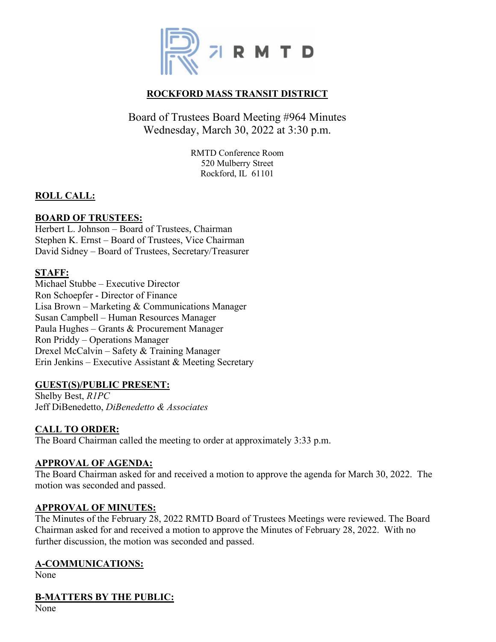

# **ROCKFORD MASS TRANSIT DISTRICT**

# Board of Trustees Board Meeting #964 Minutes Wednesday, March 30, 2022 at 3:30 p.m.

RMTD Conference Room 520 Mulberry Street Rockford, IL 61101

# **ROLL CALL:**

## **BOARD OF TRUSTEES:**

Herbert L. Johnson – Board of Trustees, Chairman Stephen K. Ernst – Board of Trustees, Vice Chairman David Sidney – Board of Trustees, Secretary/Treasurer

## **STAFF:**

Michael Stubbe – Executive Director Ron Schoepfer - Director of Finance Lisa Brown – Marketing & Communications Manager Susan Campbell – Human Resources Manager Paula Hughes – Grants & Procurement Manager Ron Priddy – Operations Manager Drexel McCalvin – Safety & Training Manager Erin Jenkins – Executive Assistant & Meeting Secretary

## **GUEST(S)/PUBLIC PRESENT:**

Shelby Best, *R1PC* Jeff DiBenedetto, *DiBenedetto & Associates*

## **CALL TO ORDER:**

The Board Chairman called the meeting to order at approximately 3:33 p.m.

#### **APPROVAL OF AGENDA:**

The Board Chairman asked for and received a motion to approve the agenda for March 30, 2022. The motion was seconded and passed.

#### **APPROVAL OF MINUTES:**

The Minutes of the February 28, 2022 RMTD Board of Trustees Meetings were reviewed. The Board Chairman asked for and received a motion to approve the Minutes of February 28, 2022. With no further discussion, the motion was seconded and passed.

#### **A-COMMUNICATIONS:**

None

## **B-MATTERS BY THE PUBLIC:**

None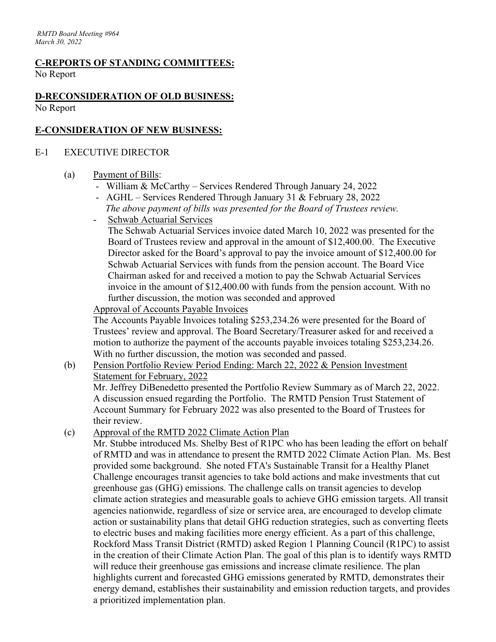# **C-REPORTS OF STANDING COMMITTEES:**

No Report

## **D-RECONSIDERATION OF OLD BUSINESS:** No Report

## **E-CONSIDERATION OF NEW BUSINESS:**

#### E-1 EXECUTIVE DIRECTOR

#### (a) Payment of Bills:

- William & McCarthy Services Rendered Through January 24, 2022
- AGHL Services Rendered Through January 31 & February 28, 2022 *The above payment of bills was presented for the Board of Trustees review.*
- Schwab Actuarial Services

The Schwab Actuarial Services invoice dated March 10, 2022 was presented for the Board of Trustees review and approval in the amount of \$12,400.00. The Executive Director asked for the Board's approval to pay the invoice amount of \$12,400.00 for Schwab Actuarial Services with funds from the pension account. The Board Vice Chairman asked for and received a motion to pay the Schwab Actuarial Services invoice in the amount of \$12,400.00 with funds from the pension account. With no further discussion, the motion was seconded and approved

Approval of Accounts Payable Invoices

The Accounts Payable Invoices totaling \$253,234.26 were presented for the Board of Trustees' review and approval. The Board Secretary/Treasurer asked for and received a motion to authorize the payment of the accounts payable invoices totaling \$253,234.26. With no further discussion, the motion was seconded and passed.

(b) Pension Portfolio Review Period Ending: March 22, 2022 & Pension Investment Statement for February, 2022 Mr. Jeffrey DiBenedetto presented the Portfolio Review Summary as of March 22, 2022. A discussion ensued regarding the Portfolio. The RMTD Pension Trust Statement of

Account Summary for February 2022 was also presented to the Board of Trustees for their review.

(c) Approval of the RMTD 2022 Climate Action Plan

Mr. Stubbe introduced Ms. Shelby Best of R1PC who has been leading the effort on behalf of RMTD and was in attendance to present the RMTD 2022 Climate Action Plan. Ms. Best provided some background. She noted FTA's Sustainable Transit for a Healthy Planet Challenge encourages transit agencies to take bold actions and make investments that cut greenhouse gas (GHG) emissions. The challenge calls on transit agencies to develop climate action strategies and measurable goals to achieve GHG emission targets. All transit agencies nationwide, regardless of size or service area, are encouraged to develop climate action or sustainability plans that detail GHG reduction strategies, such as converting fleets to electric buses and making facilities more energy efficient. As a part of this challenge, Rockford Mass Transit District (RMTD) asked Region 1 Planning Council (R1PC) to assist in the creation of their Climate Action Plan. The goal of this plan is to identify ways RMTD will reduce their greenhouse gas emissions and increase climate resilience. The plan highlights current and forecasted GHG emissions generated by RMTD, demonstrates their energy demand, establishes their sustainability and emission reduction targets, and provides a prioritized implementation plan.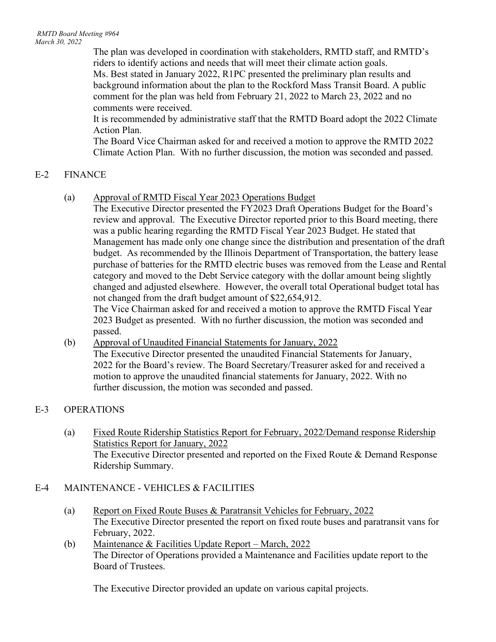The plan was developed in coordination with stakeholders, RMTD staff, and RMTD's riders to identify actions and needs that will meet their climate action goals. Ms. Best stated in January 2022, R1PC presented the preliminary plan results and background information about the plan to the Rockford Mass Transit Board. A public comment for the plan was held from February 21, 2022 to March 23, 2022 and no comments were received.

It is recommended by administrative staff that the RMTD Board adopt the 2022 Climate Action Plan.

The Board Vice Chairman asked for and received a motion to approve the RMTD 2022 Climate Action Plan. With no further discussion, the motion was seconded and passed.

## E-2 FINANCE

(a) Approval of RMTD Fiscal Year 2023 Operations Budget

The Executive Director presented the FY2023 Draft Operations Budget for the Board's review and approval. The Executive Director reported prior to this Board meeting, there was a public hearing regarding the RMTD Fiscal Year 2023 Budget. He stated that Management has made only one change since the distribution and presentation of the draft budget. As recommended by the Illinois Department of Transportation, the battery lease purchase of batteries for the RMTD electric buses was removed from the Lease and Rental category and moved to the Debt Service category with the dollar amount being slightly changed and adjusted elsewhere. However, the overall total Operational budget total has not changed from the draft budget amount of \$22,654,912.

The Vice Chairman asked for and received a motion to approve the RMTD Fiscal Year 2023 Budget as presented. With no further discussion, the motion was seconded and passed.

(b) Approval of Unaudited Financial Statements for January, 2022 The Executive Director presented the unaudited Financial Statements for January, 2022 for the Board's review. The Board Secretary/Treasurer asked for and received a motion to approve the unaudited financial statements for January, 2022. With no further discussion, the motion was seconded and passed.

# E-3 OPERATIONS

(a) Fixed Route Ridership Statistics Report for February, 2022/Demand response Ridership Statistics Report for January, 2022 The Executive Director presented and reported on the Fixed Route & Demand Response Ridership Summary.

# E-4 MAINTENANCE - VEHICLES & FACILITIES

- (a) Report on Fixed Route Buses & Paratransit Vehicles for February, 2022 The Executive Director presented the report on fixed route buses and paratransit vans for February, 2022.
- (b) Maintenance & Facilities Update Report March, 2022 The Director of Operations provided a Maintenance and Facilities update report to the Board of Trustees.

The Executive Director provided an update on various capital projects.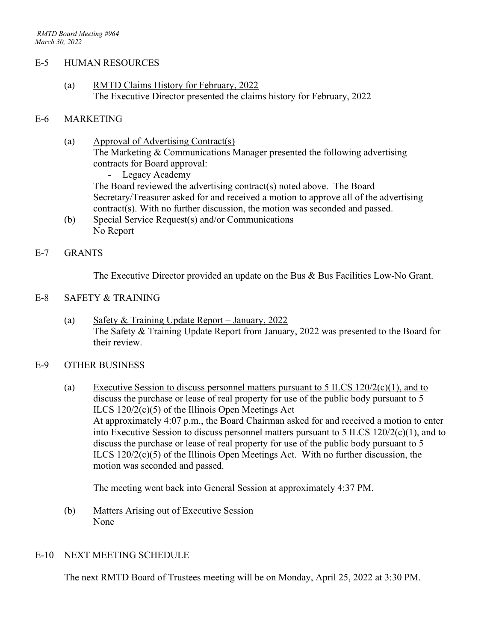#### E-5 HUMAN RESOURCES

(a) RMTD Claims History for February, 2022 The Executive Director presented the claims history for February, 2022

#### E-6 MARKETING

- (a) Approval of Advertising Contract(s) The Marketing & Communications Manager presented the following advertising contracts for Board approval:
	- Legacy Academy

The Board reviewed the advertising contract(s) noted above. The Board Secretary/Treasurer asked for and received a motion to approve all of the advertising contract(s). With no further discussion, the motion was seconded and passed.

(b) Special Service Request(s) and/or Communications No Report

#### E-7 GRANTS

The Executive Director provided an update on the Bus & Bus Facilities Low-No Grant.

#### E-8 SAFETY & TRAINING

(a) Safety & Training Update Report – January, 2022 The Safety & Training Update Report from January, 2022 was presented to the Board for their review.

#### E-9 OTHER BUSINESS

(a) Executive Session to discuss personnel matters pursuant to 5 ILCS  $120/2(c)(1)$ , and to discuss the purchase or lease of real property for use of the public body pursuant to 5 ILCS 120/2(c)(5) of the Illinois Open Meetings Act At approximately 4:07 p.m., the Board Chairman asked for and received a motion to enter into Executive Session to discuss personnel matters pursuant to 5 ILCS 120/2(c)(1), and to discuss the purchase or lease of real property for use of the public body pursuant to 5 ILCS 120/2(c)(5) of the Illinois Open Meetings Act. With no further discussion, the motion was seconded and passed.

The meeting went back into General Session at approximately 4:37 PM.

(b) Matters Arising out of Executive Session None

## E-10 NEXT MEETING SCHEDULE

The next RMTD Board of Trustees meeting will be on Monday, April 25, 2022 at 3:30 PM.